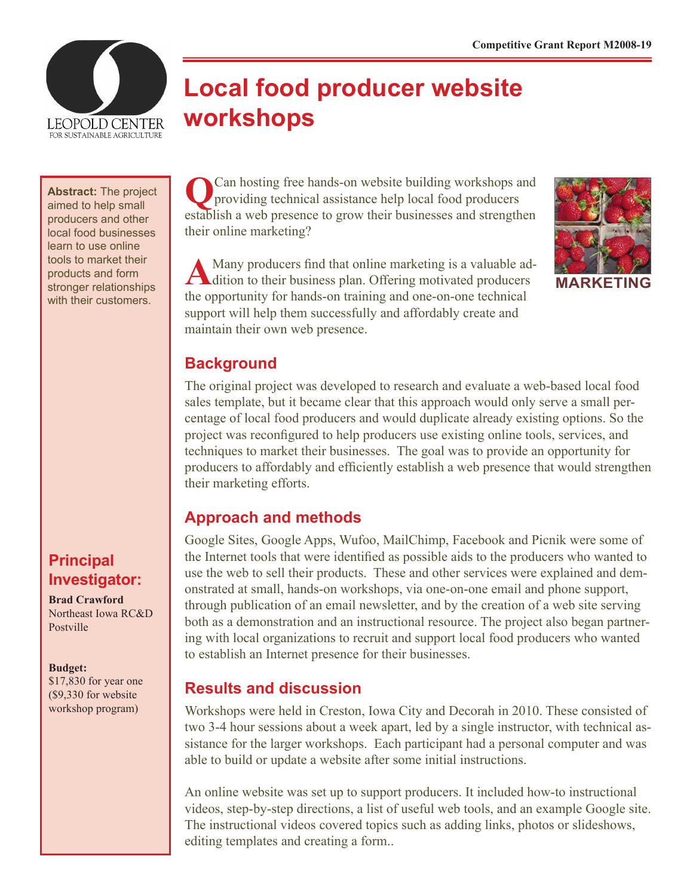

# **Local food producer website workshops**

**Abstract:** The project aimed to help small producers and other local food businesses learn to use online tools to market their products and form stronger relationships with their customers.

# **Principal Investigator:**

**Brad Crawford** Northeast Iowa RC&D Postville

#### **Budget:**

\$17,830 for year one (\$9,330 for website workshop program)

**Q**Can hosting free hands-on website building workshops and providing technical assistance help local food producers establish a web presence to grow their businesses and strengthen their online marketing?

AMany producers find that online marketing is a valuable addition to their business plan. Offering motivated producers the opportunity for hands-on training and one-on-one technical support will help them successfully and affordably create and maintain their own web presence.



**MARKETING**

#### **Background**

The original project was developed to research and evaluate a web-based local food sales template, but it became clear that this approach would only serve a small percentage of local food producers and would duplicate already existing options. So the project was reconfigured to help producers use existing online tools, services, and techniques to market their businesses. The goal was to provide an opportunity for producers to affordably and efficiently establish a web presence that would strengthen their marketing efforts.

#### **Approach and methods**

Google Sites, Google Apps, Wufoo, MailChimp, Facebook and Picnik were some of the Internet tools that were identified as possible aids to the producers who wanted to use the web to sell their products. These and other services were explained and demonstrated at small, hands-on workshops, via one-on-one email and phone support, through publication of an email newsletter, and by the creation of a web site serving both as a demonstration and an instructional resource. The project also began partnering with local organizations to recruit and support local food producers who wanted to establish an Internet presence for their businesses.

#### **Results and discussion**

Workshops were held in Creston, Iowa City and Decorah in 2010. These consisted of two 3-4 hour sessions about a week apart, led by a single instructor, with technical assistance for the larger workshops. Each participant had a personal computer and was able to build or update a website after some initial instructions.

An online website was set up to support producers. It included how-to instructional videos, step-by-step directions, a list of useful web tools, and an example Google site. The instructional videos covered topics such as adding links, photos or slideshows, editing templates and creating a form..